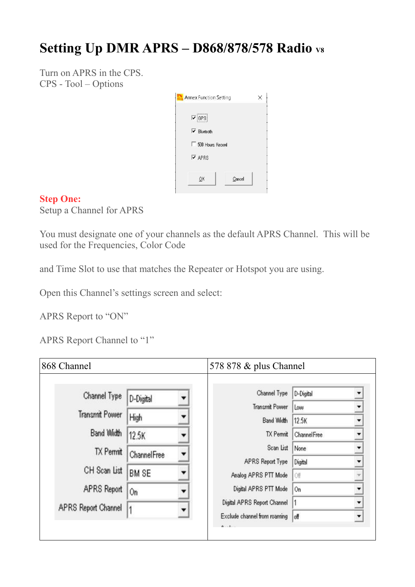# **Setting Up DMR APRS – D868/878/578 Radio V8**

Turn on APRS in the CPS. CPS - Tool – Options

| <b>Annex Function Setting</b>   |        |  |
|---------------------------------|--------|--|
| $\nabla$ GPS                    |        |  |
| $\triangleright$ Bluetooth      |        |  |
| 500 Hours Record                |        |  |
| $\overline{\triangledown}$ APRS |        |  |
| OK                              | Cancel |  |
|                                 |        |  |

### **Step One:**

Setup a Channel for APRS

You must designate one of your channels as the default APRS Channel. This will be used for the Frequencies, Color Code

and Time Slot to use that matches the Repeater or Hotspot you are using.

Open this Channel's settings screen and select:

APRS Report to "ON"

APRS Report Channel to "1"

| 868 Channel           |                    | 578 878 & plus Channel       |                    |  |
|-----------------------|--------------------|------------------------------|--------------------|--|
| Channel Type          | D-Digital          | Channel Type                 | D-Digital          |  |
| <b>Transmit Power</b> |                    | Transmit Power               | Low                |  |
|                       | High               | Band Width                   | 12.5K              |  |
| Band Width            | 12.5K              | TX Permit                    | <b>ChannelFree</b> |  |
| <b>TX</b> Permit      | <b>ChannelFree</b> | Scan List                    | None               |  |
|                       |                    | APRS Report Type             | Digital            |  |
| CH Scan List          | BM SE              | Analog APRS PTT Mode         | Off                |  |
| APRS Report           | 0n                 | Digital APRS PTT Mode        | On                 |  |
| APRS Report Channel   |                    | Digital APRS Report Channel  |                    |  |
|                       |                    | Exclude channel from roaming | off                |  |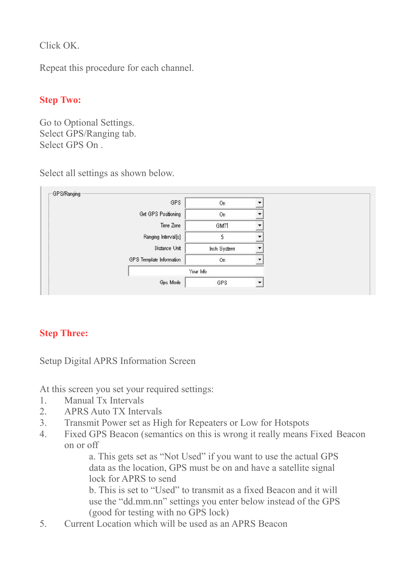Click OK.

Repeat this procedure for each channel.

# **Step Two:**

Go to Optional Settings. Select GPS/Ranging tab. Select GPS On .

Select all settings as shown below.



# **Step Three:**

Setup Digital APRS Information Screen

At this screen you set your required settings:

- 1. Manual Tx Intervals
- 2. APRS Auto TX Intervals
- 3. Transmit Power set as High for Repeaters or Low for Hotspots
- 4. Fixed GPS Beacon (semantics on this is wrong it really means Fixed Beacon on or off

a. This gets set as "Not Used" if you want to use the actual GPS data as the location, GPS must be on and have a satellite signal lock for APRS to send

b. This is set to "Used" to transmit as a fixed Beacon and it will use the "dd.mm.nn" settings you enter below instead of the GPS (good for testing with no GPS lock)

5. Current Location which will be used as an APRS Beacon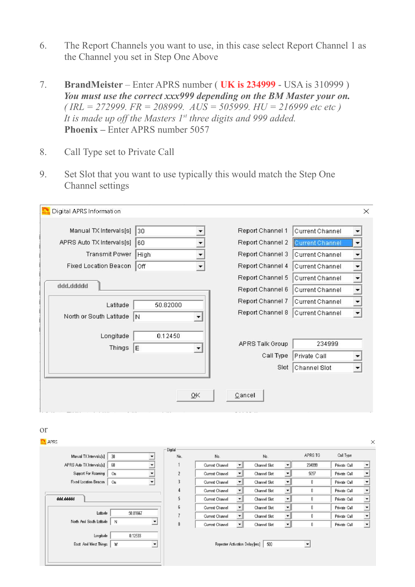- 6. The Report Channels you want to use, in this case select Report Channel 1 as the Channel you set in Step One Above
- 7. **BrandMeister** Enter APRS number ( **UK is 234999**  USA is 310999 ) *You must use the correct xxx999 depending on the BM Master your on. ( IRL = 272999. FR = 208999. AUS = 505999. HU = 216999 etc etc ) It is made up off the Masters 1st three digits and 999 added.*  Phoenix – Enter APRS number 5057
- 8. Call Type set to Private Call
- 9. Set Slot that you want to use typically this would match the Step One Channel settings

| Manual TX Intervals[s]       | 30           |    | Report Channel 1 | <b>Current Channel</b> |                          |
|------------------------------|--------------|----|------------------|------------------------|--------------------------|
| APRS Auto TX Intervals[s]    | 60           |    | Report Channel 2 | <b>Current Channel</b> |                          |
| <b>Transmit Power</b>        | High         |    | Report Channel 3 | Current Channel        |                          |
| <b>Fixed Location Beacon</b> | Off          | ۰  | Report Channel 4 | Current Channel        |                          |
|                              |              |    | Report Channel 5 | Current Channel        |                          |
| ddd.ddddd                    |              |    | Report Channel 6 | Current Channel        |                          |
| Latitude                     | 50.82000     |    | Report Channel 7 | Current Channel        | $\overline{\phantom{a}}$ |
| North or South Latitude      | N            | ▼  | Report Channel 8 | Current Channel        | $\blacktriangledown$     |
| Longitude<br>Things          | 0.12450<br>E |    | APRS Talk Group  | 234999                 |                          |
|                              |              |    | Call Type        | Private Call           |                          |
|                              |              |    | Slot             | Channel Slot           |                          |
|                              |              | QK | Cancel           |                        |                          |

|                           |                                | Digital        |                                |                          |              |                      |                      |              |                      |
|---------------------------|--------------------------------|----------------|--------------------------------|--------------------------|--------------|----------------------|----------------------|--------------|----------------------|
| Manual TX Intervals[s]    | 30                             | No.            | No.                            |                          | No.          |                      | APRS TG              | Call Type    |                      |
| APRS Auto TX Intervals[s] | 60                             |                | Current Channel                | $\blacktriangledown$     | Channel Slot | $\mathbf{v}$         | 234999               | Private Call | $\overline{ }$       |
| Support For Roaming       | On                             | $\overline{2}$ | Current Channel                | $\overline{\phantom{a}}$ | Channel Slot | ▾∥                   | 5057                 | Private Call | $\blacktriangledown$ |
| Fixed Location Beacon     | On<br>$\overline{\phantom{a}}$ | 3              | Current Channel                | $\overline{\phantom{a}}$ | Channel Slot | ▾∥                   | 0                    | Private Call | $\overline{ }$       |
|                           |                                | $\overline{4}$ | Current Channel                |                          | Channel Slot | $\blacktriangledown$ | 0                    | Private Call | $\overline{ }$       |
| ddd.ddddd                 |                                | 5              | Current Channel                |                          | Channel Slot | ▼∥                   | Û                    | Private Call | $\overline{ }$       |
|                           |                                | 6              | Current Channel                |                          | Channel Slot | $\mathbf{v}$         | 0                    | Private Call | $\blacktriangledown$ |
| Latitude                  | 50.81667                       | $\overline{1}$ | Current Channel                |                          | Channel Slot | ▼∥                   | 0                    | Private Call | $\blacktriangledown$ |
| North And South Latitude  | N                              | 8              | Current Channel                |                          | Channel Slot | $\mathbf{v}$         | 0                    | Private Call | $\overline{ }$       |
| Longitude                 | 0.12533                        |                |                                |                          |              |                      |                      |              |                      |
| East And West Things      | w<br>$\blacktriangledown$      |                | Repeater Activation Delay [ms] |                          | 500          |                      | $\blacktriangledown$ |              |                      |
|                           |                                |                |                                |                          |              |                      |                      |              |                      |
|                           |                                |                |                                |                          |              |                      |                      |              |                      |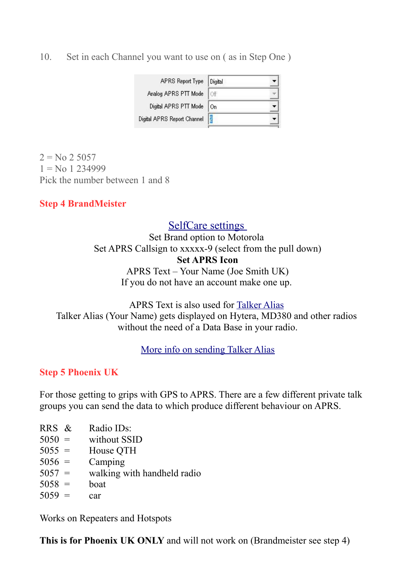10. Set in each Channel you want to use on ( as in Step One )

| APRS Report Type Digital    |  |
|-----------------------------|--|
| Analog APRS PTT Mode        |  |
| Digital APRS PTT Mode   On  |  |
| Digital APRS Report Channel |  |

 $2 = No 2 5057$  $1 =$ No 1 234999 Pick the number between 1 and 8

### **Step 4 BrandMeister**

## [SelfCare settings](https://brandmeister.network/?page=selfcare)

Set Brand option to Motorola Set APRS Callsign to xxxxx-9 (select from the pull down) **Set APRS Icon** APRS Text – Your Name (Joe Smith UK) If you do not have an account make one up.

APRS Text is also used for [Talker Alias](https://wiki.brandmeister.network/index.php/Talker_Alias) Talker Alias (Your Name) gets displayed on Hytera, MD380 and other radios without the need of a Data Base in your radio.

#### [More info on sending Talker Alias](http://hamradio.joomla.com/images/PDF/Sending-Talker-Alias.pdf)

#### **Step 5 Phoenix UK**

For those getting to grips with GPS to APRS. There are a few different private talk groups you can send the data to which produce different behaviour on APRS.

RRS & Radio IDs:  $5050 =$  without SSID  $5055 =$  House OTH  $5056 =$  Camping  $5057 =$  walking with handheld radio  $5058 =$  boat  $5059 = \text{car}$ 

Works on Repeaters and Hotspots

**This is for Phoenix UK ONLY** and will not work on (Brandmeister see step 4)